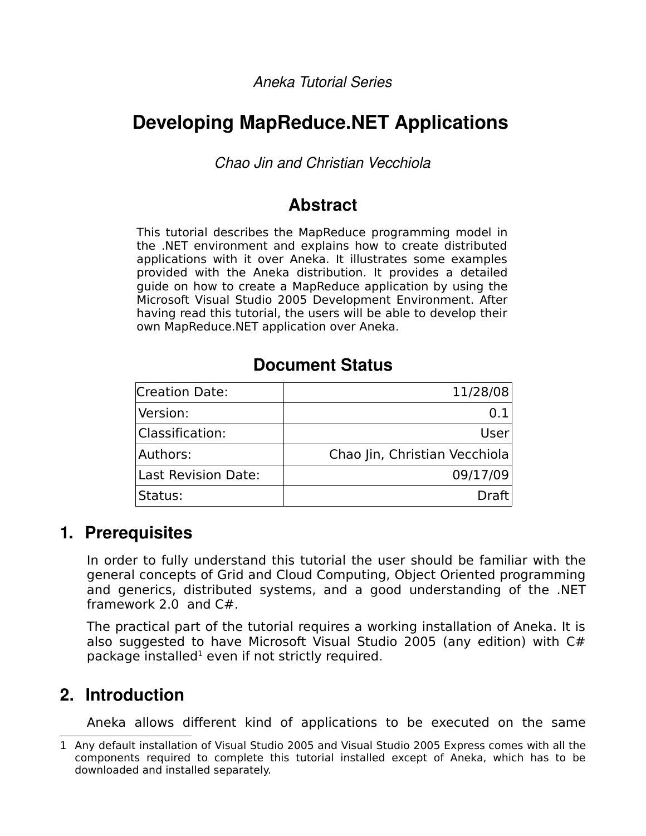*Aneka Tutorial Series*

# **Developing MapReduce.NET Applications**

*Chao Jin and Christian Vecchiola*

## **Abstract**

This tutorial describes the MapReduce programming model in the .NET environment and explains how to create distributed applications with it over Aneka. It illustrates some examples provided with the Aneka distribution. It provides a detailed guide on how to create a MapReduce application by using the Microsoft Visual Studio 2005 Development Environment. After having read this tutorial, the users will be able to develop their own MapReduce.NET application over Aneka.

## **Document Status**

| <b>Creation Date:</b>      | 11/28/08                      |
|----------------------------|-------------------------------|
| Version:                   |                               |
| <b>Classification:</b>     | User                          |
| Authors:                   | Chao Jin, Christian Vecchiola |
| <b>Last Revision Date:</b> | 09/17/09                      |
| Status:                    | DraffI                        |

## **1. Prerequisites**

In order to fully understand this tutorial the user should be familiar with the general concepts of Grid and Cloud Computing, Object Oriented programming and generics, distributed systems, and a good understanding of the .NET framework 2.0 and C#.

The practical part of the tutorial requires a working installation of Aneka. It is also suggested to have Microsoft Visual Studio 2005 (any edition) with C# package installed $^1$  $^1$  even if not strictly required.

# **2. Introduction**

Aneka allows different kind of applications to be executed on the same

<span id="page-0-0"></span><sup>1</sup> Any default installation of Visual Studio 2005 and Visual Studio 2005 Express comes with all the components required to complete this tutorial installed except of Aneka, which has to be downloaded and installed separately.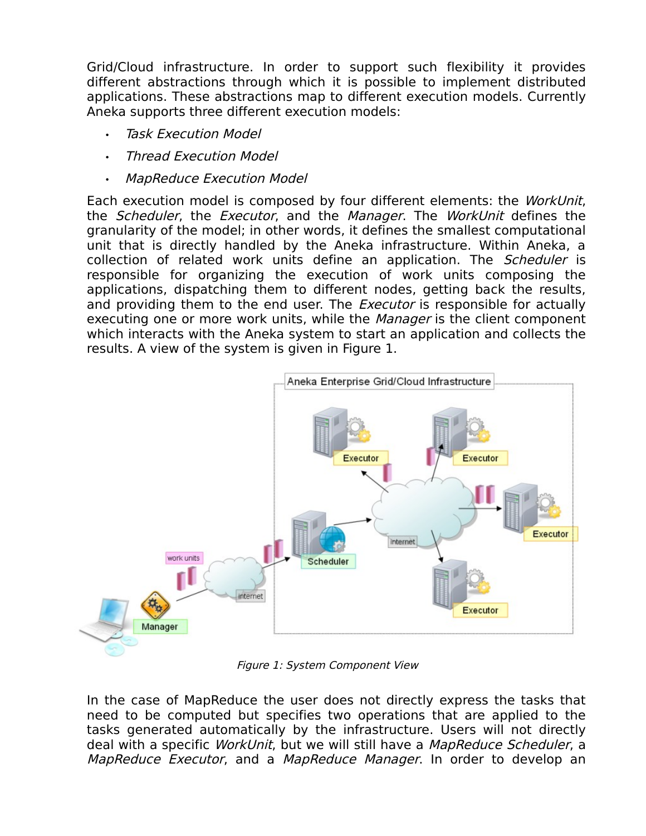Grid/Cloud infrastructure. In order to support such flexibility it provides different abstractions through which it is possible to implement distributed applications. These abstractions map to different execution models. Currently Aneka supports three different execution models:

- **Task Execution Model**
- Thread Execution Model
- MapReduce Execution Model

Each execution model is composed by four different elements: the WorkUnit, the Scheduler, the Executor, and the Manager. The WorkUnit defines the granularity of the model; in other words, it defines the smallest computational unit that is directly handled by the Aneka infrastructure. Within Aneka, a collection of related work units define an application. The Scheduler is responsible for organizing the execution of work units composing the applications, dispatching them to different nodes, getting back the results, and providing them to the end user. The *Executor* is responsible for actually executing one or more work units, while the *Manager* is the client component which interacts with the Aneka system to start an application and collects the results. A view of the system is given in Figure 1.



Figure 1: System Component View

In the case of MapReduce the user does not directly express the tasks that need to be computed but specifies two operations that are applied to the tasks generated automatically by the infrastructure. Users will not directly deal with a specific WorkUnit, but we will still have a MapReduce Scheduler, a MapReduce Executor, and a MapReduce Manager. In order to develop an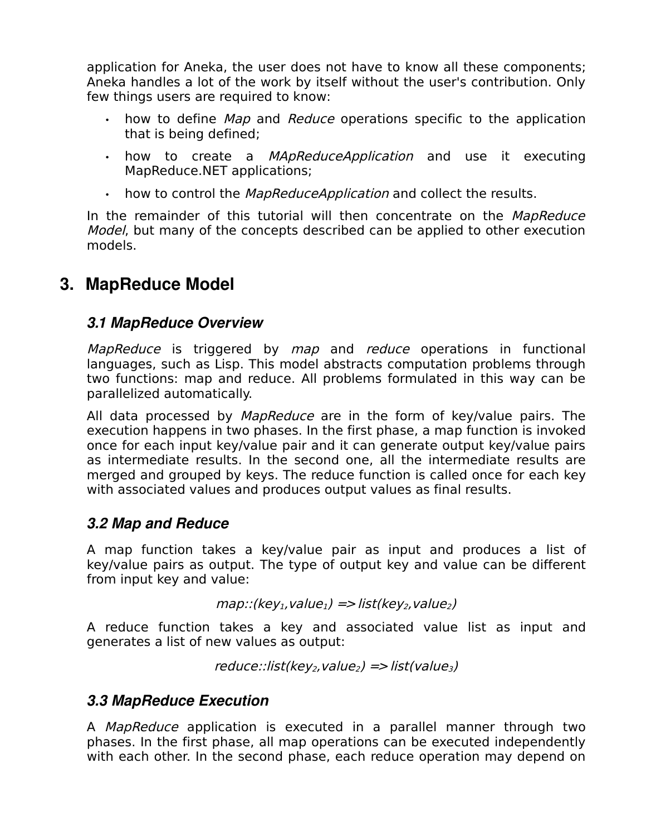application for Aneka, the user does not have to know all these components; Aneka handles a lot of the work by itself without the user's contribution. Only few things users are required to know:

- how to define Map and Reduce operations specific to the application that is being defined;
- how to create a *MApReduceApplication* and use it executing MapReduce.NET applications;
- how to control the MapReduceApplication and collect the results.

In the remainder of this tutorial will then concentrate on the MapReduce Model, but many of the concepts described can be applied to other execution models.

# **3. MapReduce Model**

### *3.1 MapReduce Overview*

MapReduce is triggered by map and reduce operations in functional languages, such as Lisp. This model abstracts computation problems through two functions: map and reduce. All problems formulated in this way can be parallelized automatically.

All data processed by *MapReduce* are in the form of key/value pairs. The execution happens in two phases. In the first phase, a map function is invoked once for each input key/value pair and it can generate output key/value pairs as intermediate results. In the second one, all the intermediate results are merged and grouped by keys. The reduce function is called once for each key with associated values and produces output values as final results.

### *3.2 Map and Reduce*

A map function takes a key/value pair as input and produces a list of key/value pairs as output. The type of output key and value can be different from input key and value:

$$
map::(key_1, value_1) => list(key_2, value_2)
$$

A reduce function takes a key and associated value list as input and generates a list of new values as output:

```
reduce::list(key_2, value_2) => list(value_3)
```
### *3.3 MapReduce Execution*

A MapReduce application is executed in a parallel manner through two phases. In the first phase, all map operations can be executed independently with each other. In the second phase, each reduce operation may depend on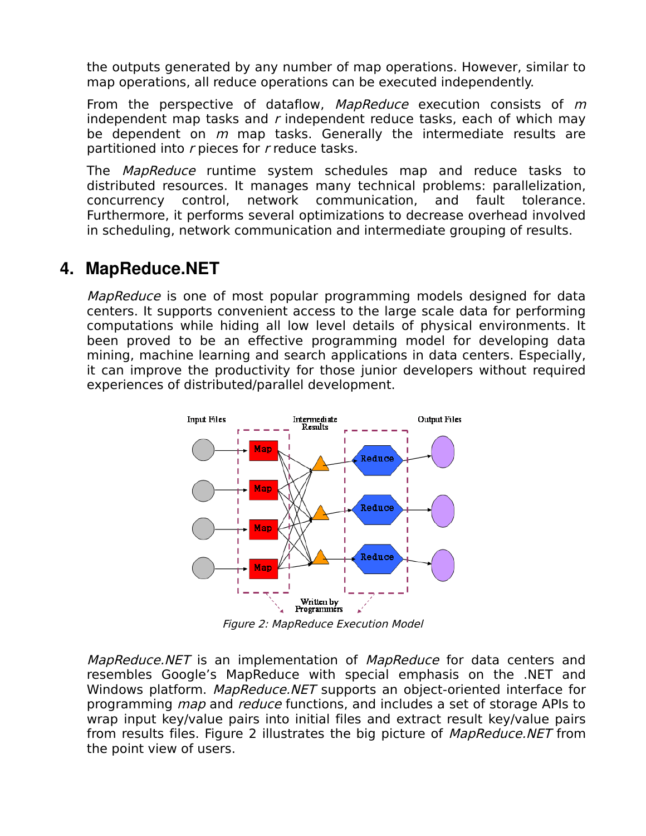the outputs generated by any number of map operations. However, similar to map operations, all reduce operations can be executed independently.

From the perspective of dataflow, MapReduce execution consists of m independent map tasks and  $r$  independent reduce tasks, each of which may be dependent on  $m$  map tasks. Generally the intermediate results are partitioned into r pieces for r reduce tasks.

The MapReduce runtime system schedules map and reduce tasks to distributed resources. It manages many technical problems: parallelization, concurrency control, network communication, and fault tolerance. Furthermore, it performs several optimizations to decrease overhead involved in scheduling, network communication and intermediate grouping of results.

### **4. MapReduce.NET**

MapReduce is one of most popular programming models designed for data centers. It supports convenient access to the large scale data for performing computations while hiding all low level details of physical environments. It been proved to be an effective programming model for developing data mining, machine learning and search applications in data centers. Especially, it can improve the productivity for those junior developers without required experiences of distributed/parallel development.



Figure 2: MapReduce Execution Model

MapReduce.NET is an implementation of MapReduce for data centers and resembles Google's MapReduce with special emphasis on the .NET and Windows platform. MapReduce.NET supports an object-oriented interface for programming map and reduce functions, and includes a set of storage APIs to wrap input key/value pairs into initial files and extract result key/value pairs from results files. Figure 2 illustrates the big picture of *MapReduce.NET* from the point view of users.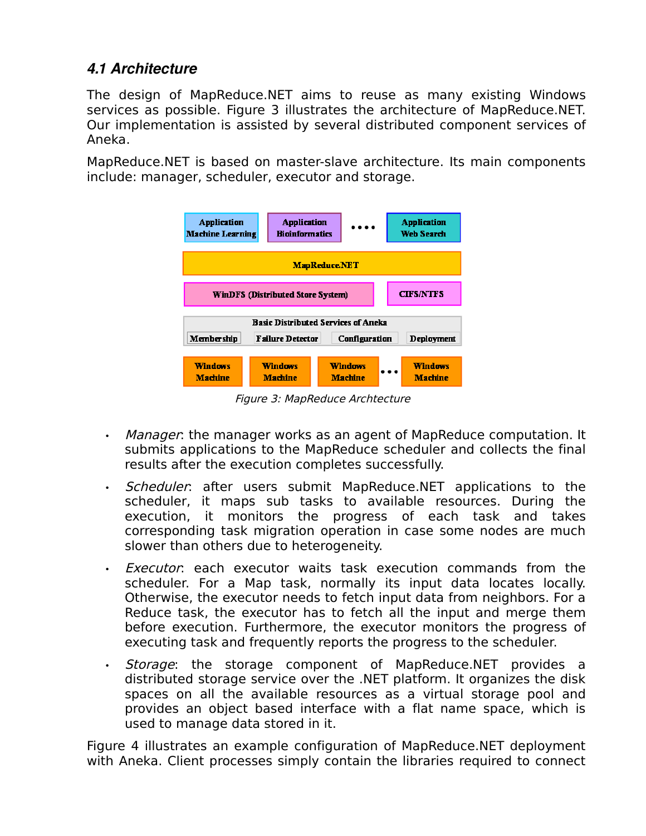### *4.1 Architecture*

The design of MapReduce.NET aims to reuse as many existing Windows services as possible. Figure 3 illustrates the architecture of MapReduce.NET. Our implementation is assisted by several distributed component services of Aneka.

MapReduce.NET is based on master-slave architecture. Its main components include: manager, scheduler, executor and storage.



Figure 3: MapReduce Archtecture

- Manager: the manager works as an agent of MapReduce computation. It submits applications to the MapReduce scheduler and collects the final results after the execution completes successfully.
- Scheduler: after users submit MapReduce.NET applications to the scheduler, it maps sub tasks to available resources. During the execution, it monitors the progress of each task and takes corresponding task migration operation in case some nodes are much slower than others due to heterogeneity.
- **Executor:** each executor waits task execution commands from the scheduler. For a Map task, normally its input data locates locally. Otherwise, the executor needs to fetch input data from neighbors. For a Reduce task, the executor has to fetch all the input and merge them before execution. Furthermore, the executor monitors the progress of executing task and frequently reports the progress to the scheduler.
- *Storage*: the storage component of MapReduce.NET provides a distributed storage service over the .NET platform. It organizes the disk spaces on all the available resources as a virtual storage pool and provides an object based interface with a flat name space, which is used to manage data stored in it.

Figure 4 illustrates an example configuration of MapReduce.NET deployment with Aneka. Client processes simply contain the libraries required to connect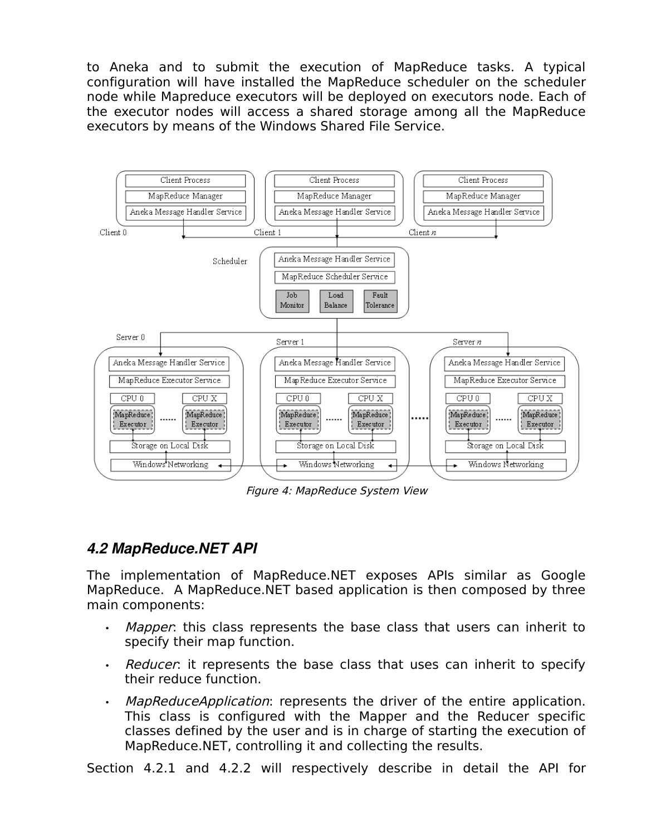to Aneka and to submit the execution of MapReduce tasks. A typical configuration will have installed the MapReduce scheduler on the scheduler node while Mapreduce executors will be deployed on executors node. Each of the executor nodes will access a shared storage among all the MapReduce executors by means of the Windows Shared File Service.



Figure 4: MapReduce System View

### *4.2 MapReduce.NET API*

The implementation of MapReduce.NET exposes APIs similar as Google MapReduce. A MapReduce.NET based application is then composed by three main components:

- Mapper: this class represents the base class that users can inherit to specify their map function.
- Reducer: it represents the base class that uses can inherit to specify their reduce function.
- MapReduceApplication: represents the driver of the entire application. This class is configured with the Mapper and the Reducer specific classes defined by the user and is in charge of starting the execution of MapReduce.NET, controlling it and collecting the results.

Section 4.2.1 and 4.2.2 will respectively describe in detail the API for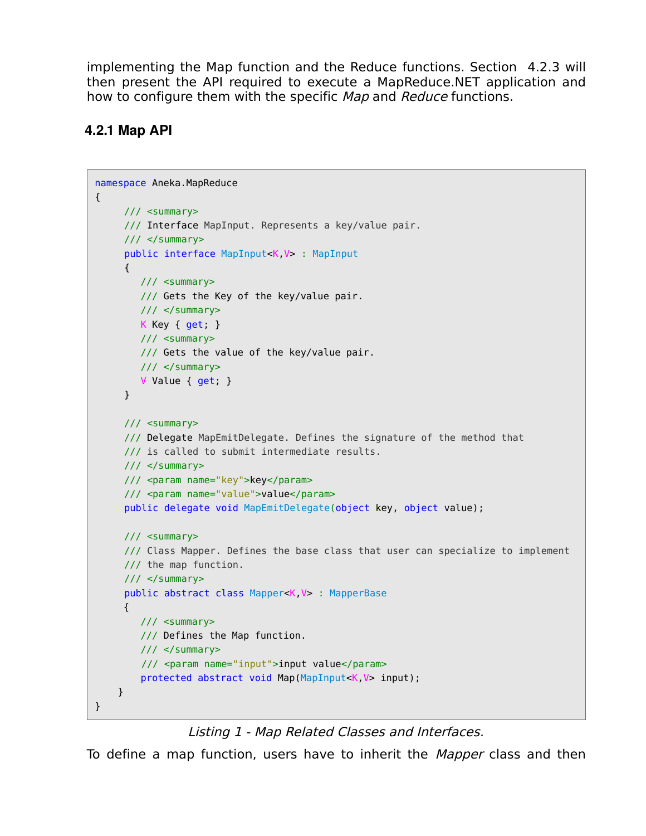implementing the Map function and the Reduce functions. Section 4.2.3 will then present the API required to execute a MapReduce.NET application and how to configure them with the specific Map and Reduce functions.

### **4.2.1 Map API**

```
namespace Aneka.MapReduce 
{
     /// <summary>
     /// Interface MapInput. Represents a key/value pair.
     /// </summary>
     public interface MapInput<K,V> : MapInput
     {
         /// <summary>
         /// Gets the Key of the key/value pair.
         /// </summary>
         K Key { get; }
         /// <summary>
         /// Gets the value of the key/value pair.
         /// </summary>
         V Value { get; }
     }
     /// <summary>
     /// Delegate MapEmitDelegate. Defines the signature of the method that
     /// is called to submit intermediate results.
     /// </summary>
     /// <param name="key">key</param>
     /// <param name="value">value</param>
     public delegate void MapEmitDelegate(object key, object value);
     /// <summary>
     /// Class Mapper. Defines the base class that user can specialize to implement
     /// the map function.
     /// </summary>
     public abstract class Mapper<K,V> : MapperBase
      {
         /// <summary>
         /// Defines the Map function.
         /// </summary>
         /// <param name="input">input value</param>
         protected abstract void Map(MapInput<K,V> input);
     }
}
```
Listing 1 - Map Related Classes and Interfaces.

To define a map function, users have to inherit the *Mapper* class and then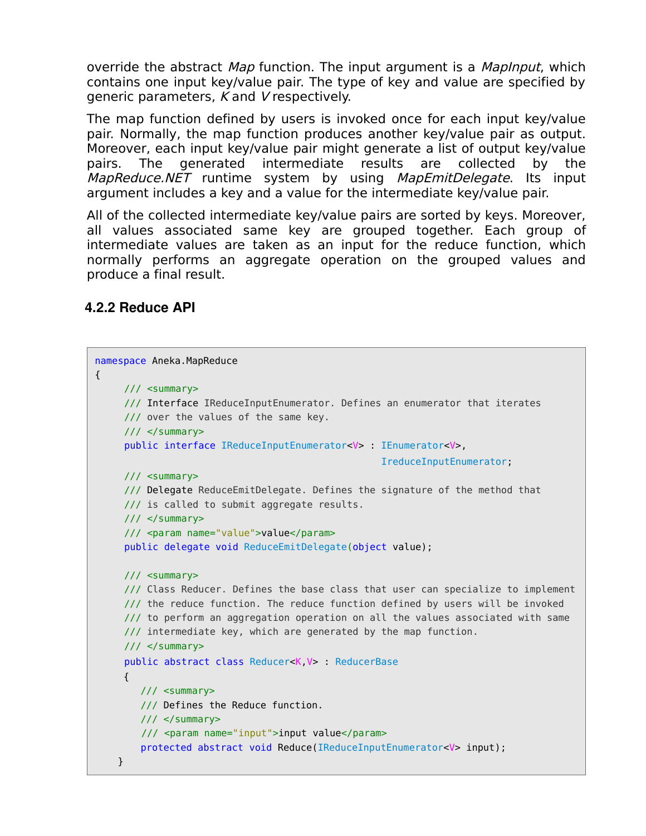override the abstract Map function. The input argument is a MapInput, which contains one input key/value pair. The type of key and value are specified by generic parameters, K and V respectively.

The map function defined by users is invoked once for each input key/value pair. Normally, the map function produces another key/value pair as output. Moreover, each input key/value pair might generate a list of output key/value pairs. The generated intermediate results are collected by the MapReduce.NET runtime system by using MapEmitDelegate. Its input argument includes a key and a value for the intermediate key/value pair.

All of the collected intermediate key/value pairs are sorted by keys. Moreover, all values associated same key are grouped together. Each group of intermediate values are taken as an input for the reduce function, which normally performs an aggregate operation on the grouped values and produce a final result.

#### **4.2.2 Reduce API**

```
namespace Aneka.MapReduce 
{
    /// <summary>
     /// Interface IReduceInputEnumerator. Defines an enumerator that iterates
     /// over the values of the same key.
     /// </summary>
     public interface IReduceInputEnumerator<V> : IEnumerator<V>,
                                                   IreduceInputEnumerator;
    /// <summary>
     /// Delegate ReduceEmitDelegate. Defines the signature of the method that
     /// is called to submit aggregate results.
     /// </summary>
     /// <param name="value">value</param>
     public delegate void ReduceEmitDelegate(object value);
     /// <summary>
     /// Class Reducer. Defines the base class that user can specialize to implement
     /// the reduce function. The reduce function defined by users will be invoked 
     /// to perform an aggregation operation on all the values associated with same
     /// intermediate key, which are generated by the map function.
     /// </summary>
     public abstract class Reducer<K,V> : ReducerBase
     {
        /// <summary>
         /// Defines the Reduce function.
         /// </summary>
         /// <param name="input">input value</param>
         protected abstract void Reduce(IReduceInputEnumerator<V> input);
    }
```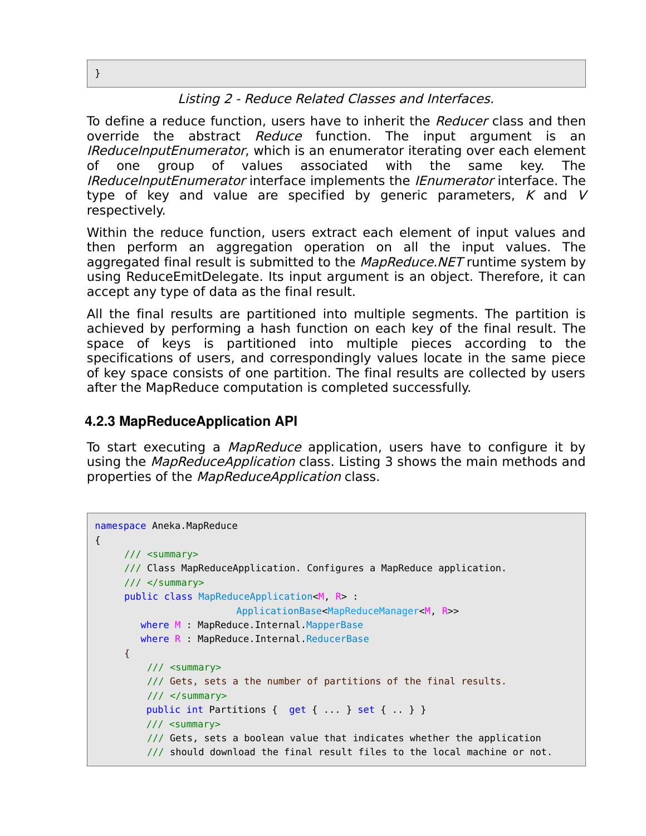#### Listing 2 - Reduce Related Classes and Interfaces.

To define a reduce function, users have to inherit the Reducer class and then override the abstract *Reduce* function. The input argument is an IReduceInputEnumerator, which is an enumerator iterating over each element of one group of values associated with the same key. The IReduceInputEnumerator interface implements the IEnumerator interface. The type of key and value are specified by generic parameters,  $K$  and  $V$ respectively.

Within the reduce function, users extract each element of input values and then perform an aggregation operation on all the input values. The aggregated final result is submitted to the MapReduce.NET runtime system by using ReduceEmitDelegate. Its input argument is an object. Therefore, it can accept any type of data as the final result.

All the final results are partitioned into multiple segments. The partition is achieved by performing a hash function on each key of the final result. The space of keys is partitioned into multiple pieces according to the specifications of users, and correspondingly values locate in the same piece of key space consists of one partition. The final results are collected by users after the MapReduce computation is completed successfully.

#### **4.2.3 MapReduceApplication API**

To start executing a *MapReduce* application, users have to configure it by using the *MapReduceApplication* class. Listing 3 shows the main methods and properties of the MapReduceApplication class.

```
namespace Aneka.MapReduce 
{
      /// <summary>
      /// Class MapReduceApplication. Configures a MapReduce application.
     11/ \leq/summary>
      public class MapReduceApplication<M, R> : 
                         ApplicationBase<MapReduceManager<M, R>>
         where M : MapReduce.Internal.MapperBase
        where R : MapReduce. Internal. ReducerBase
     {
          /// <summary>
          /// Gets, sets a the number of partitions of the final results.
          /// </summary>
         public int Partitions \{ get \{ \ldots \} set \{ \ldots \} }
          /// <summary>
          /// Gets, sets a boolean value that indicates whether the application
          /// should download the final result files to the local machine or not.
```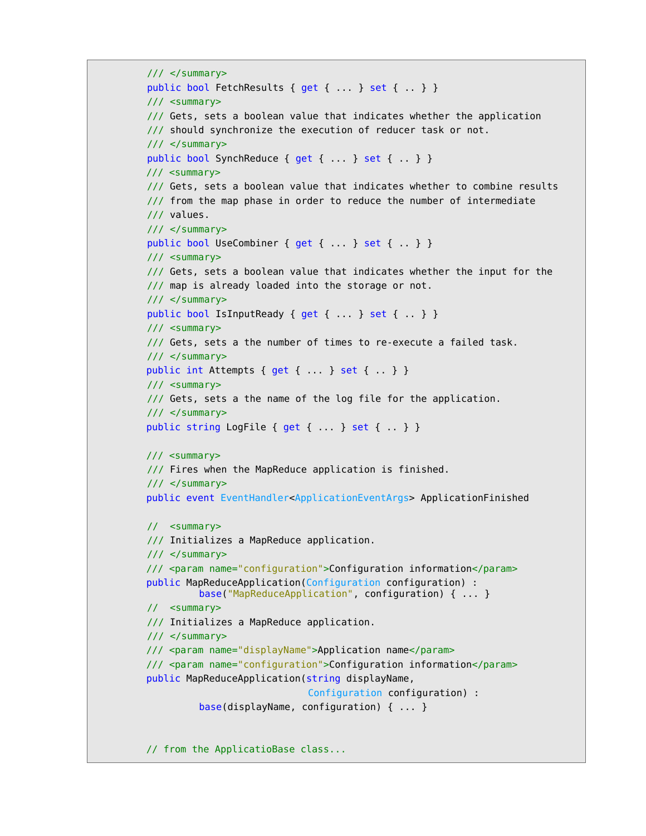```
11/ \leq/summary>
 public bool FetchResults { get { ... } set { .. } } 
 /// <summary>
 /// Gets, sets a boolean value that indicates whether the application
 /// should synchronize the execution of reducer task or not.
 /// </summary>
 public bool SynchReduce { get { ... } set { .. } }
 /// <summary>
 /// Gets, sets a boolean value that indicates whether to combine results
 /// from the map phase in order to reduce the number of intermediate
 /// values.
 /// </summary>
 public bool UseCombiner { get { ... } set { .. } }
 /// <summary>
 /// Gets, sets a boolean value that indicates whether the input for the
/// map is already loaded into the storage or not.
 /// </summary>
 public bool IsInputReady { get { ... } set { .. } }
 /// <summary>
 /// Gets, sets a the number of times to re-execute a failed task.
11/ \leq/summary>
public int Attempts { get { ... } set { ... } }
 /// <summary>
 /// Gets, sets a the name of the log file for the application.
 /// </summary>
public string LogFile { get { ... } set { .. } }
 /// <summary>
 /// Fires when the MapReduce application is finished.
// / </summary>
 public event EventHandler<ApplicationEventArgs> ApplicationFinished
 // <summary>
 /// Initializes a MapReduce application.
 /// </summary>
 /// <param name="configuration">Configuration information</param>
 public MapReduceApplication(Configuration configuration) : 
         base("MapReduceApplication", configuration) { ... }
 // <summary>
 /// Initializes a MapReduce application.
// / </summary>
 /// <param name="displayName">Application name</param>
 /// <param name="configuration">Configuration information</param>
 public MapReduceApplication(string displayName, 
                              Configuration configuration) :
          base(displayName, configuration) { ... }
 // from the ApplicatioBase class...
```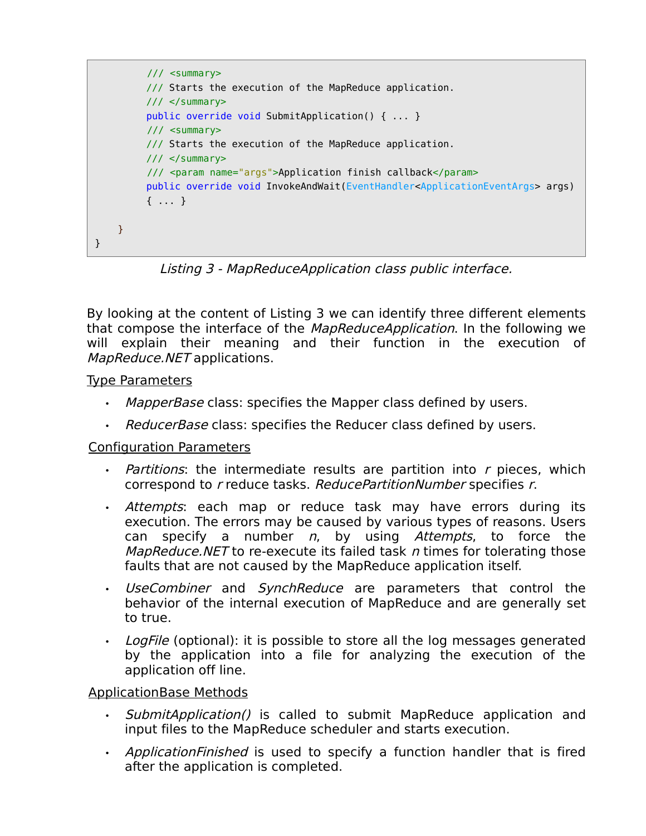

Listing 3 - MapReduceApplication class public interface.

By looking at the content of Listing 3 we can identify three different elements that compose the interface of the *MapReduceApplication*. In the following we will explain their meaning and their function in the execution of MapReduce.NET applications.

Type Parameters

- MapperBase class: specifies the Mapper class defined by users.
- ReducerBase class: specifies the Reducer class defined by users.

#### Configuration Parameters

- $\cdot$  *Partitions*: the intermediate results are partition into r pieces, which correspond to r reduce tasks. ReducePartitionNumber specifies r.
- Attempts: each map or reduce task may have errors during its execution. The errors may be caused by various types of reasons. Users can specify a number  $n$ , by using Attempts, to force the *MapReduce.NET* to re-execute its failed task  $n$  times for tolerating those faults that are not caused by the MapReduce application itself.
- UseCombiner and SynchReduce are parameters that control the behavior of the internal execution of MapReduce and are generally set to true.
- Log File (optional): it is possible to store all the log messages generated by the application into a file for analyzing the execution of the application off line.

### ApplicationBase Methods

- SubmitApplication() is called to submit MapReduce application and input files to the MapReduce scheduler and starts execution.
- ApplicationFinished is used to specify a function handler that is fired after the application is completed.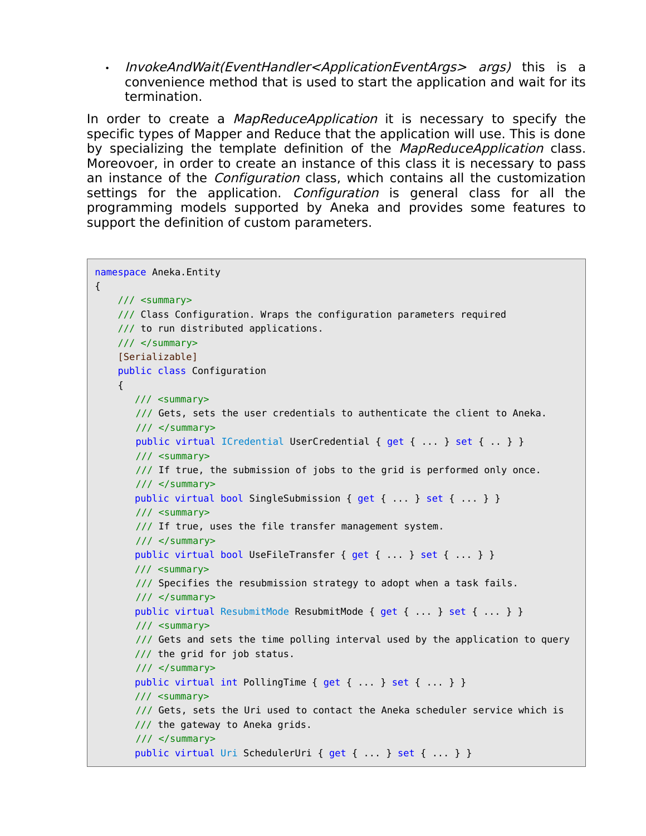• InvokeAndWait(EventHandler<ApplicationEventArgs> args) this is a convenience method that is used to start the application and wait for its termination.

In order to create a *MapReduceApplication* it is necessary to specify the specific types of Mapper and Reduce that the application will use. This is done by specializing the template definition of the *MapReduceApplication* class. Moreovoer, in order to create an instance of this class it is necessary to pass an instance of the Configuration class, which contains all the customization settings for the application. *Configuration* is general class for all the programming models supported by Aneka and provides some features to support the definition of custom parameters.

```
namespace Aneka.Entity 
{
     /// <summary>
     /// Class Configuration. Wraps the configuration parameters required
     /// to run distributed applications.
     /// </summary>
    [Serializable]
     public class Configuration
     {
        /// <summary>
        /// Gets, sets the user credentials to authenticate the client to Aneka.
        /// </summary>
       public virtual ICredential UserCredential { get { ... } set { .. } }
        /// <summary>
        /// If true, the submission of jobs to the grid is performed only once.
        /// </summary>
       public virtual bool SingleSubmission { get { ... } set { ... } }
        /// <summary>
        /// If true, uses the file transfer management system.
       11/ \leq/summary>
       public virtual bool UseFileTransfer { get { ... } set { ... } }
        /// <summary>
        /// Specifies the resubmission strategy to adopt when a task fails.
       11/ \leq/summary>
        public virtual ResubmitMode ResubmitMode { get { ... } set { ... } }
        /// <summary>
        /// Gets and sets the time polling interval used by the application to query
        /// the grid for job status.
        /// </summary>
        public virtual int PollingTime { get { ... } set { ... } }
        /// <summary>
        /// Gets, sets the Uri used to contact the Aneka scheduler service which is
        /// the gateway to Aneka grids.
        /// </summary>
       public virtual Uri SchedulerUri { get { ... } set { ... } }
```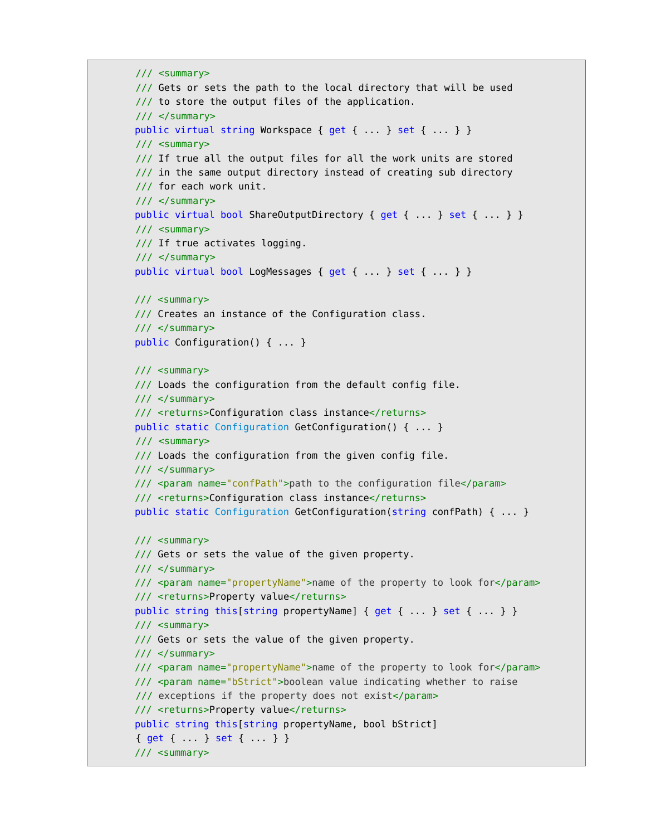```
 /// <summary>
 /// Gets or sets the path to the local directory that will be used 
 /// to store the output files of the application.
 /// </summary>
public virtual string Workspace { get { ... } set { ... } }
 /// <summary>
 /// If true all the output files for all the work units are stored
 /// in the same output directory instead of creating sub directory
 /// for each work unit.
 /// </summary>
public virtual bool ShareOutputDirectory { get { ... } set { ... } }
 /// <summary>
 /// If true activates logging.
11/ \leq/summary>
public virtual bool LogMessages { get { ... } set { ... } }
 /// <summary>
 /// Creates an instance of the Configuration class.
// / </summary>
 public Configuration() { ... }
 /// <summary>
 /// Loads the configuration from the default config file. 
 /// </summary>
 /// <returns>Configuration class instance</returns>
 public static Configuration GetConfiguration() { ... }
 /// <summary>
 /// Loads the configuration from the given config file. 
 /// </summary>
 /// <param name="confPath">path to the configuration file</param>
 /// <returns>Configuration class instance</returns>
 public static Configuration GetConfiguration(string confPath) { ... }
 /// <summary>
 /// Gets or sets the value of the given property. 
 /// </summary>
 /// <param name="propertyName">name of the property to look for</param>
/// <returns>Property value</returns>
public string this[string propertyName] { get { ... } set { ... } }
 /// <summary>
 /// Gets or sets the value of the given property. 
 /// </summary>
 /// <param name="propertyName">name of the property to look for</param>
 /// <param name="bStrict">boolean value indicating whether to raise
 /// exceptions if the property does not exist</param>
/// <returns>Property value</returns>
 public string this[string propertyName, bool bStrict] 
 { get { ... } set { ... } }
 /// <summary>
```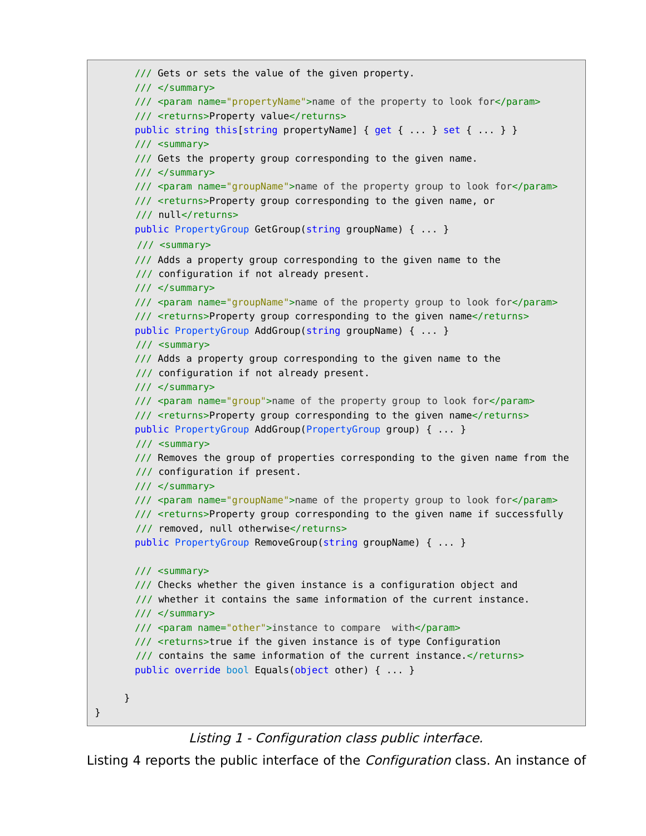```
 /// Gets or sets the value of the given property. 
  /// </summary>
  /// <param name="propertyName">name of the property to look for</param>
 /// <returns>Property value</returns>
 public string this [string propertyName] { get { ... } }
  /// <summary>
  /// Gets the property group corresponding to the given name. 
  /// </summary>
  /// <param name="groupName">name of the property group to look for</param>
  /// <returns>Property group corresponding to the given name, or 
  /// null</returns>
  public PropertyGroup GetGroup(string groupName) { ... }
   /// <summary>
  /// Adds a property group corresponding to the given name to the
   /// configuration if not already present. 
  /// </summary>
  /// <param name="groupName">name of the property group to look for</param>
 /// <returns>Property group corresponding to the given name</returns>
  public PropertyGroup AddGroup(string groupName) { ... }
   /// <summary>
  /// Adds a property group corresponding to the given name to the
   /// configuration if not already present. 
 // / </summary>
  /// <param name="group">name of the property group to look for</param>
 /// <returns>Property group corresponding to the given name</returns>
  public PropertyGroup AddGroup(PropertyGroup group) { ... }
   /// <summary>
  /// Removes the group of properties corresponding to the given name from the
   /// configuration if present.
  /// </summary>
  /// <param name="groupName">name of the property group to look for</param>
  /// <returns>Property group corresponding to the given name if successfully
  /// removed, null otherwise</returns>
  public PropertyGroup RemoveGroup(string groupName) { ... }
  /// <summary>
  /// Checks whether the given instance is a configuration object and
   /// whether it contains the same information of the current instance. 
  /// </summary>
  /// <param name="other">instance to compare with</param>
  /// <returns>true if the given instance is of type Configuration
  /// contains the same information of the current instance.</returns>
  public override bool Equals(object other) { ... }
}
```
Listing 1 - Configuration class public interface.

}

Listing 4 reports the public interface of the *Configuration* class. An instance of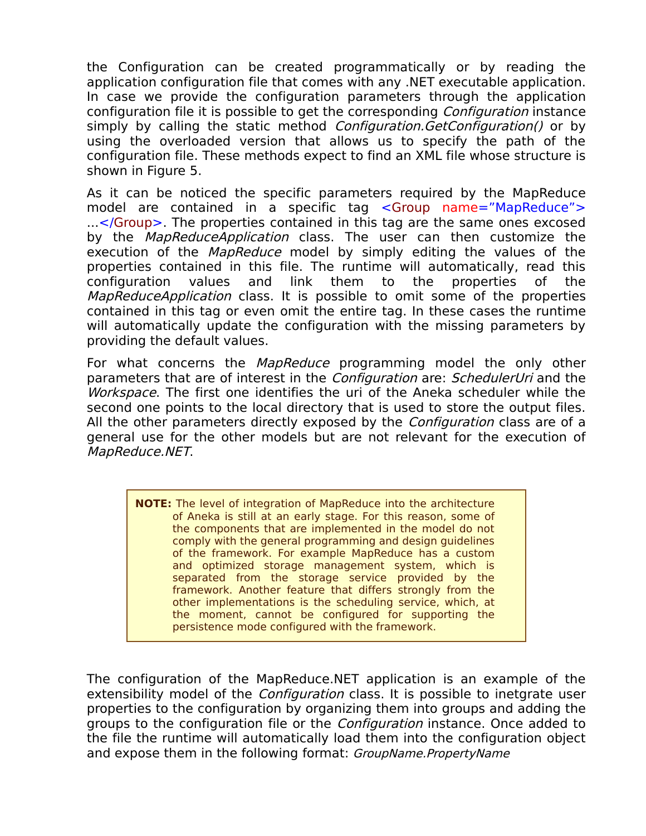the Configuration can be created programmatically or by reading the application configuration file that comes with any .NET executable application. In case we provide the configuration parameters through the application configuration file it is possible to get the corresponding Configuration instance simply by calling the static method *Configuration.GetConfiguration()* or by using the overloaded version that allows us to specify the path of the configuration file. These methods expect to find an XML file whose structure is shown in Figure 5.

As it can be noticed the specific parameters required by the MapReduce model are contained in a specific tag <Group name="MapReduce"> ...</Group>. The properties contained in this tag are the same ones excosed by the *MapReduceApplication* class. The user can then customize the execution of the MapReduce model by simply editing the values of the properties contained in this file. The runtime will automatically, read this configuration values and link them to the properties of the MapReduceApplication class. It is possible to omit some of the properties contained in this tag or even omit the entire tag. In these cases the runtime will automatically update the configuration with the missing parameters by providing the default values.

For what concerns the MapReduce programming model the only other parameters that are of interest in the *Configuration* are: *SchedulerUri* and the Workspace. The first one identifies the uri of the Aneka scheduler while the second one points to the local directory that is used to store the output files. All the other parameters directly exposed by the *Configuration* class are of a general use for the other models but are not relevant for the execution of MapReduce.NET.

**NOTE:** The level of integration of MapReduce into the architecture of Aneka is still at an early stage. For this reason, some of the components that are implemented in the model do not comply with the general programming and design guidelines of the framework. For example MapReduce has a custom and optimized storage management system, which is separated from the storage service provided by the framework. Another feature that differs strongly from the other implementations is the scheduling service, which, at the moment, cannot be configured for supporting the persistence mode configured with the framework.

The configuration of the MapReduce.NET application is an example of the extensibility model of the *Configuration* class. It is possible to inetgrate user properties to the configuration by organizing them into groups and adding the groups to the configuration file or the Configuration instance. Once added to the file the runtime will automatically load them into the configuration object and expose them in the following format: GroupName. PropertyName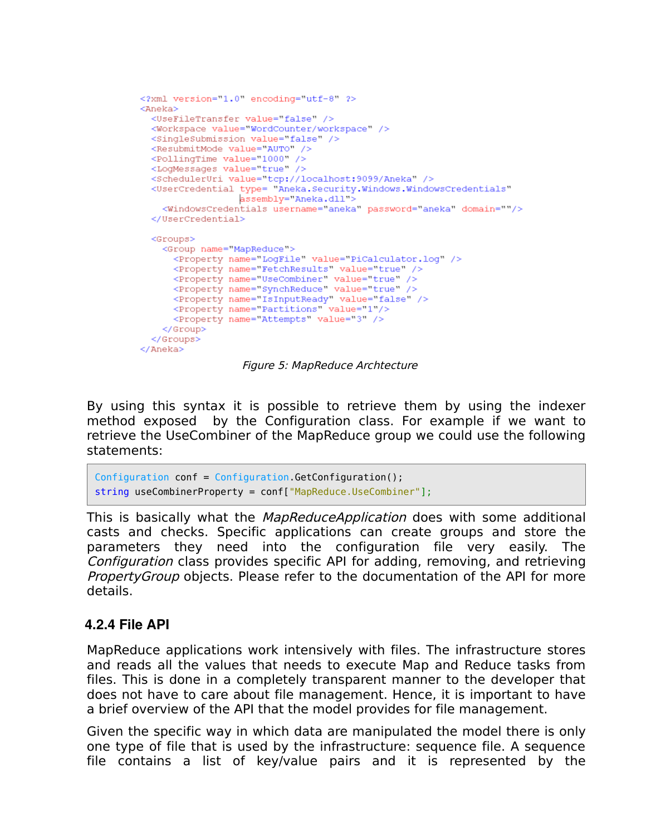```
<?xml version="1.0" encoding="utf-8" ?>
<Aneka>
 <UseFileTransfer value="false" />
 <Workspace value="WordCounter/workspace" />
 <SingleSubmission value="false" />
 <ResubmitMode value="AUTO" />
 <PollingTime value="1000" />
 <LoqMessages value="true" />
  <SchedulerUri value="tcp://localhost:9099/Aneka" />
  <UserCredential type= "Aneka. Security. Windows. WindowsCredentials"
                assembly="Aneka.dll">
    <WindowsCredentials username="aneka" password="aneka" domain=""/>
  </UserCredential>
  <Groups>
    <Group name="MapReduce">
      <Property name="LogFile" value="PiCalculator.log" />
      <Property name="FetchResults" value="true" />
      <Property name="UseCombiner" value="true" />
     <Property name="synchReduce" value="true" />
     <Property name="IsInputReady" value="false" />
     <Property name="Partitions" value="1"/>
     <Property name="Attempts" value="3" />
   </Group>
 </Groups>
</Aneka>
```
Figure 5: MapReduce Archtecture

By using this syntax it is possible to retrieve them by using the indexer method exposed by the Configuration class. For example if we want to retrieve the UseCombiner of the MapReduce group we could use the following statements:

```
Configuration conf = Configuration.GetConfiguration();
string useCombinerProperty = conf["MapReduce.UseCombiner"];
```
This is basically what the MapReduceApplication does with some additional casts and checks. Specific applications can create groups and store the parameters they need into the configuration file very easily. The Configuration class provides specific API for adding, removing, and retrieving *PropertyGroup* objects. Please refer to the documentation of the API for more details.

#### **4.2.4 File API**

MapReduce applications work intensively with files. The infrastructure stores and reads all the values that needs to execute Map and Reduce tasks from files. This is done in a completely transparent manner to the developer that does not have to care about file management. Hence, it is important to have a brief overview of the API that the model provides for file management.

Given the specific way in which data are manipulated the model there is only one type of file that is used by the infrastructure: sequence file. A sequence file contains a list of key/value pairs and it is represented by the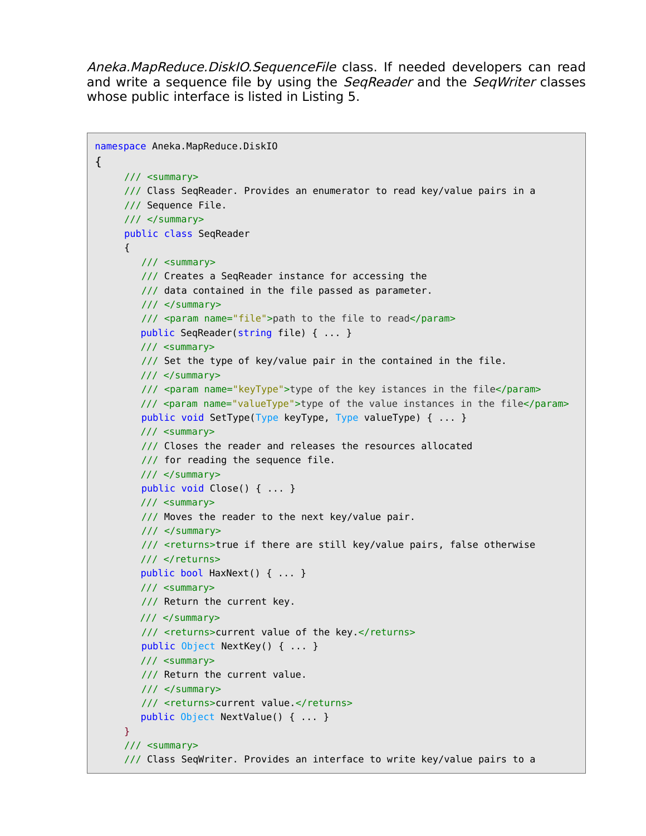Aneka.MapReduce.DiskIO.SequenceFile class. If needed developers can read and write a sequence file by using the *SegReader* and the *SegWriter* classes whose public interface is listed in Listing 5.

```
namespace Aneka.MapReduce.DiskIO 
{ 
     /// <summary>
     /// Class SeqReader. Provides an enumerator to read key/value pairs in a
     /// Sequence File.
     /// </summary>
     public class SeqReader
     {
         /// <summary>
         /// Creates a SeqReader instance for accessing the
         /// data contained in the file passed as parameter.
         /// </summary>
         /// <param name="file">path to the file to read</param>
         public SeqReader(string file) { ... }
         /// <summary>
         /// Set the type of key/value pair in the contained in the file. 
         /// </summary>
        /// <param name="keyType">type of the key istances in the file</param>
         /// <param name="valueType">type of the value instances in the file</param>
         public void SetType(Type keyType, Type valueType) { ... }
         /// <summary>
         /// Closes the reader and releases the resources allocated
         /// for reading the sequence file.
         /// </summary>
         public void Close() { ... }
         /// <summary>
         /// Moves the reader to the next key/value pair.
         /// </summary>
         /// <returns>true if there are still key/value pairs, false otherwise
        11/ </returns>
         public bool HaxNext() { ... }
         /// <summary>
         /// Return the current key.
         /// </summary>
        /// <returns>current value of the key.</returns>
         public Object NextKey() { ... }
         /// <summary>
         /// Return the current value.
        11/ \leq/summary>
        /// <returns>current value.</returns>
         public Object NextValue() { ... }
      }
     /// <summary>
     /// Class SeqWriter. Provides an interface to write key/value pairs to a
```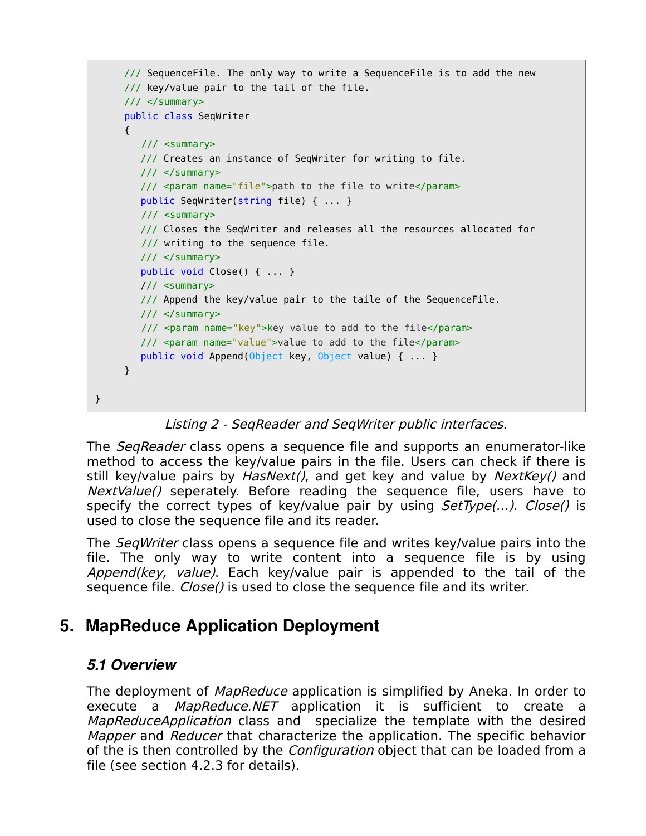```
/// SequenceFile. The only way to write a SequenceFile is to add the new
/// key/value pair to the tail of the file.
/// </summary>
public class SeqWriter
{
    /// <summary>
    /// Creates an instance of SeqWriter for writing to file.
    /// </summary>
    /// <param name="file">path to the file to write</param>
    public SeqWriter(string file) { ... }
    /// <summary>
    /// Closes the SeqWriter and releases all the resources allocated for
    /// writing to the sequence file.
    /// </summary>
    public void Close() { ... }
    /// <summary>
    /// Append the key/value pair to the taile of the SequenceFile.
    /// </summary>
    /// <param name="key">key value to add to the file</param>
    /// <param name="value">value to add to the file</param>
    public void Append(Object key, Object value) { ... }
}
```
Listing 2 - SeqReader and SeqWriter public interfaces.

The *SeqReader* class opens a sequence file and supports an enumerator-like method to access the key/value pairs in the file. Users can check if there is still key/value pairs by  $HasNext$ , and get key and value by  $NextKey()$  and NextValue() seperately. Before reading the sequence file, users have to specify the correct types of key/value pair by using  $SetType(...)$ . Close() is used to close the sequence file and its reader.

The *SeqWriter* class opens a sequence file and writes key/value pairs into the file. The only way to write content into a sequence file is by using Append(key, value). Each key/value pair is appended to the tail of the sequence file. *Close()* is used to close the sequence file and its writer.

## **5. MapReduce Application Deployment**

### *5.1 Overview*

}

The deployment of *MapReduce* application is simplified by Aneka. In order to execute a *MapReduce.NET* application it is sufficient to create a MapReduceApplication class and specialize the template with the desired *Mapper* and *Reducer* that characterize the application. The specific behavior of the is then controlled by the *Configuration* object that can be loaded from a file (see section 4.2.3 for details).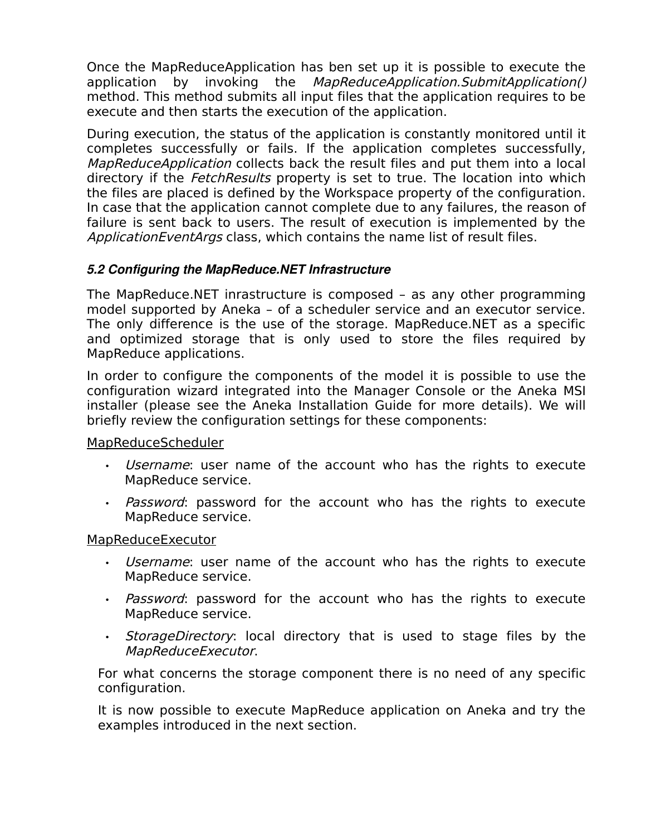Once the MapReduceApplication has ben set up it is possible to execute the application by invoking the MapReduceApplication.SubmitApplication() method. This method submits all input files that the application requires to be execute and then starts the execution of the application.

During execution, the status of the application is constantly monitored until it completes successfully or fails. If the application completes successfully, MapReduceApplication collects back the result files and put them into a local directory if the *FetchResults* property is set to true. The location into which the files are placed is defined by the Workspace property of the configuration. In case that the application cannot complete due to any failures, the reason of failure is sent back to users. The result of execution is implemented by the ApplicationEventArgs class, which contains the name list of result files.

#### *5.2 Configuring the MapReduce.NET Infrastructure*

The MapReduce.NET inrastructure is composed – as any other programming model supported by Aneka – of a scheduler service and an executor service. The only difference is the use of the storage. MapReduce.NET as a specific and optimized storage that is only used to store the files required by MapReduce applications.

In order to configure the components of the model it is possible to use the configuration wizard integrated into the Manager Console or the Aneka MSI installer (please see the Aneka Installation Guide for more details). We will briefly review the configuration settings for these components:

MapReduceScheduler

- Username: user name of the account who has the rights to execute MapReduce service.
- Password: password for the account who has the rights to execute MapReduce service.

#### MapReduceExecutor

- Username: user name of the account who has the rights to execute MapReduce service.
- Password: password for the account who has the rights to execute MapReduce service.
- StorageDirectory: local directory that is used to stage files by the MapReduceExecutor.

For what concerns the storage component there is no need of any specific configuration.

It is now possible to execute MapReduce application on Aneka and try the examples introduced in the next section.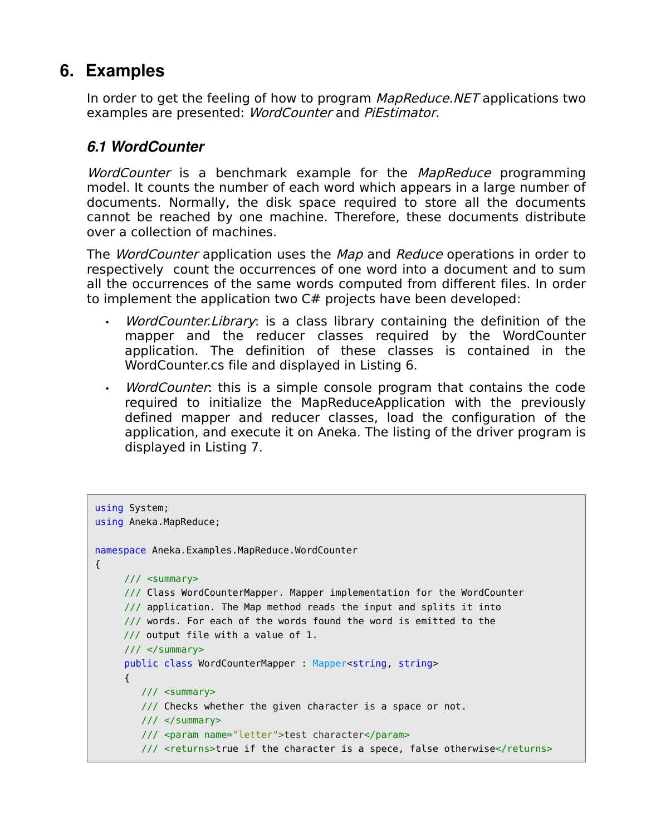# **6. Examples**

In order to get the feeling of how to program MapReduce. NET applications two examples are presented: WordCounter and PiEstimator.

### *6.1 WordCounter*

WordCounter is a benchmark example for the MapReduce programming model. It counts the number of each word which appears in a large number of documents. Normally, the disk space required to store all the documents cannot be reached by one machine. Therefore, these documents distribute over a collection of machines.

The *WordCounter* application uses the *Map* and *Reduce* operations in order to respectively count the occurrences of one word into a document and to sum all the occurrences of the same words computed from different files. In order to implement the application two C# projects have been developed:

- WordCounter.Library: is a class library containing the definition of the mapper and the reducer classes required by the WordCounter application. The definition of these classes is contained in the WordCounter.cs file and displayed in Listing 6.
- WordCounter: this is a simple console program that contains the code required to initialize the MapReduceApplication with the previously defined mapper and reducer classes, load the configuration of the application, and execute it on Aneka. The listing of the driver program is displayed in Listing 7.

```
using System;
using Aneka.MapReduce;
namespace Aneka.Examples.MapReduce.WordCounter 
{ 
     /// <summary>
     /// Class WordCounterMapper. Mapper implementation for the WordCounter
     /// application. The Map method reads the input and splits it into
     /// words. For each of the words found the word is emitted to the
     /// output file with a value of 1.
     /// </summary>
     public class WordCounterMapper : Mapper<string, string>
     {
        /// <summary>
         /// Checks whether the given character is a space or not.
         /// </summary>
         /// <param name="letter">test character</param>
        /// <returns>true if the character is a spece, false otherwise</returns>
```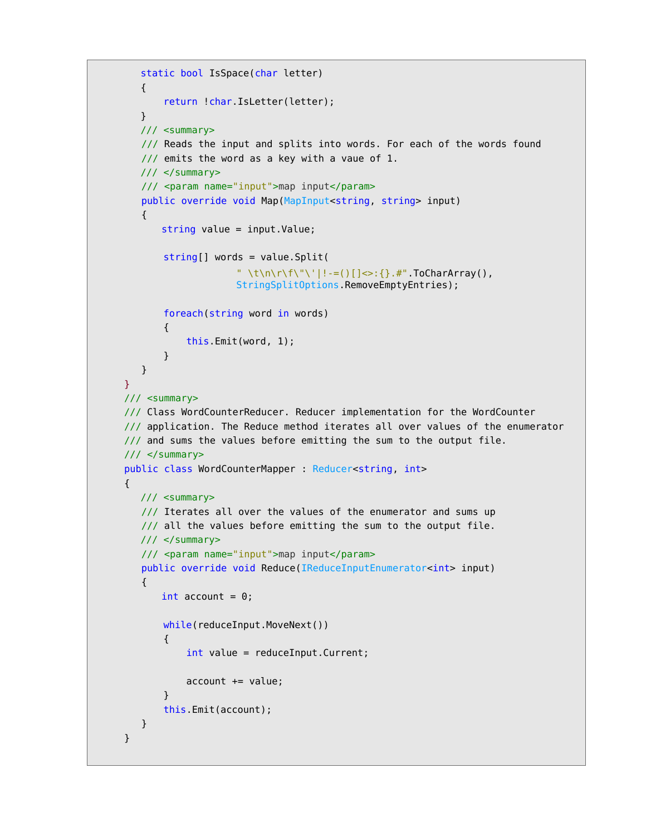```
 static bool IsSpace(char letter)
        {
            return !char.IsLetter(letter);
        }
        /// <summary>
        /// Reads the input and splits into words. For each of the words found
        /// emits the word as a key with a vaue of 1. 
        /// </summary>
        /// <param name="input">map input</param>
        public override void Map(MapInput<string, string> input) 
        { 
           string value = input.Value;
            string[] words = value.Split(
                        " \t\n\r\f\"\'|!-=()[]<>:{}.#" ToCharArray(),
                        StringSplitOptions.RemoveEmptyEntries);
            foreach(string word in words)
\{ this.Emit(word, 1);
 }
        }
      }
    /// <summary>
    /// Class WordCounterReducer. Reducer implementation for the WordCounter
    /// application. The Reduce method iterates all over values of the enumerator
    /// and sums the values before emitting the sum to the output file.
    /// </summary>
    public class WordCounterMapper : Reducer<string, int>
    {
        /// <summary>
       /// Iterates all over the values of the enumerator and sums up
       /// all the values before emitting the sum to the output file.
        /// </summary>
        /// <param name="input">map input</param>
       public override void Reduce(IReduceInputEnumerator<int> input)
        { 
           int account = 0;
           while(reduceInput.MoveNext())
\{ int value = reduceInput.Current;
                account += value;
 }
            this.Emit(account);
        }
     }
```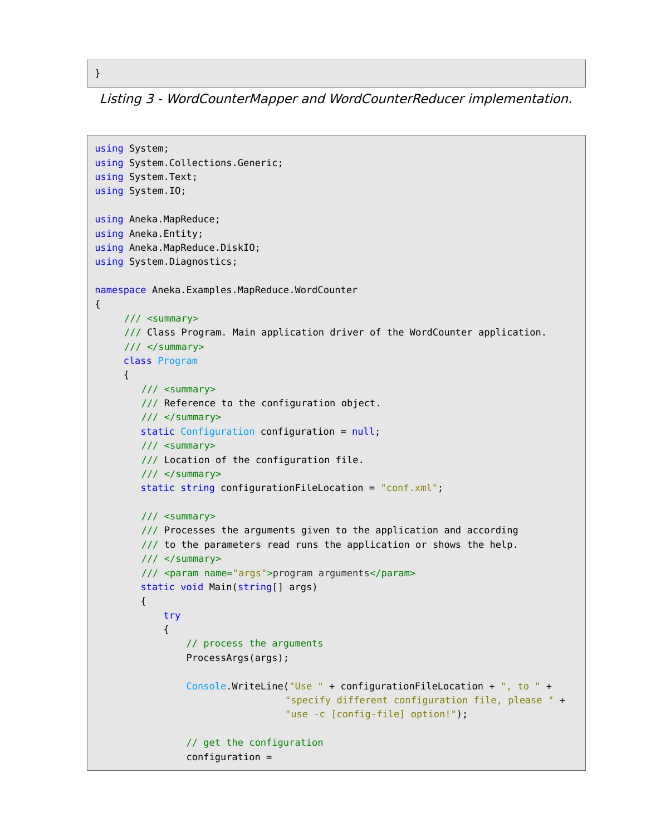Listing 3 - WordCounterMapper and WordCounterReducer implementation.

```
using System;
using System.Collections.Generic;
using System.Text;
using System.IO;
using Aneka.MapReduce;
using Aneka.Entity;
using Aneka.MapReduce.DiskIO;
using System.Diagnostics;
namespace Aneka.Examples.MapReduce.WordCounter
{
     /// <summary>
     /// Class Program. Main application driver of the WordCounter application.
     /// </summary>
      class Program
      {
         /// <summary>
         /// Reference to the configuration object.
         /// </summary>
        static Configuration configuration = null;
         /// <summary>
         /// Location of the configuration file.
         /// </summary>
         static string configurationFileLocation = "conf.xml";
         /// <summary>
         /// Processes the arguments given to the application and according
         /// to the parameters read runs the application or shows the help.
         /// </summary>
         /// <param name="args">program arguments</param>
         static void Main(string[] args)
         {
             try
\{ // process the arguments
                 ProcessArgs(args);
                 Console.WriteLine("Use " + configurationFileLocation + ", to " +
                                   "specify different configuration file, please " +
                                   "use -c [config-file] option!");
                 // get the configuration
                 configuration =
```

```
}
```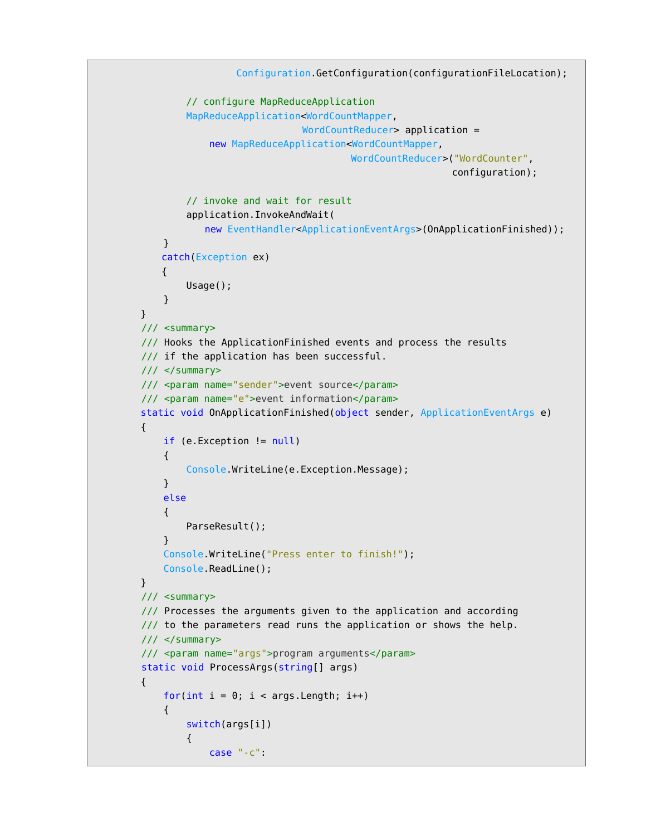```
Configuration.GetConfiguration(configurationFileLocation);
                // configure MapReduceApplication
                MapReduceApplication<WordCountMapper, 
                                    WordCountReducer> application =
                    new MapReduceApplication<WordCountMapper,
                                            WordCountReducer>("WordCounter",
                                                              configuration);
                // invoke and wait for result
                application.InvokeAndWait(
                  new EventHandler<ApplicationEventArgs>(OnApplicationFinished));
 }
           catch(Exception ex)
           {
                Usage();
            }
        }
        /// <summary>
        /// Hooks the ApplicationFinished events and process the results
        /// if the application has been successful.
        /// </summary>
        /// <param name="sender">event source</param>
        /// <param name="e">event information</param>
        static void OnApplicationFinished(object sender, ApplicationEventArgs e)
        {
            if (e.Exception != null)
\{ Console.WriteLine(e.Exception.Message);
 }
            else
\{ ParseResult();
 }
            Console.WriteLine("Press enter to finish!");
            Console.ReadLine();
        }
        /// <summary>
        /// Processes the arguments given to the application and according
        /// to the parameters read runs the application or shows the help.
        /// </summary>
        /// <param name="args">program arguments</param>
        static void ProcessArgs(string[] args)
        {
           for(int i = 0; i < args.length; i++)\{ switch(args[i])
\{ case "-c":
```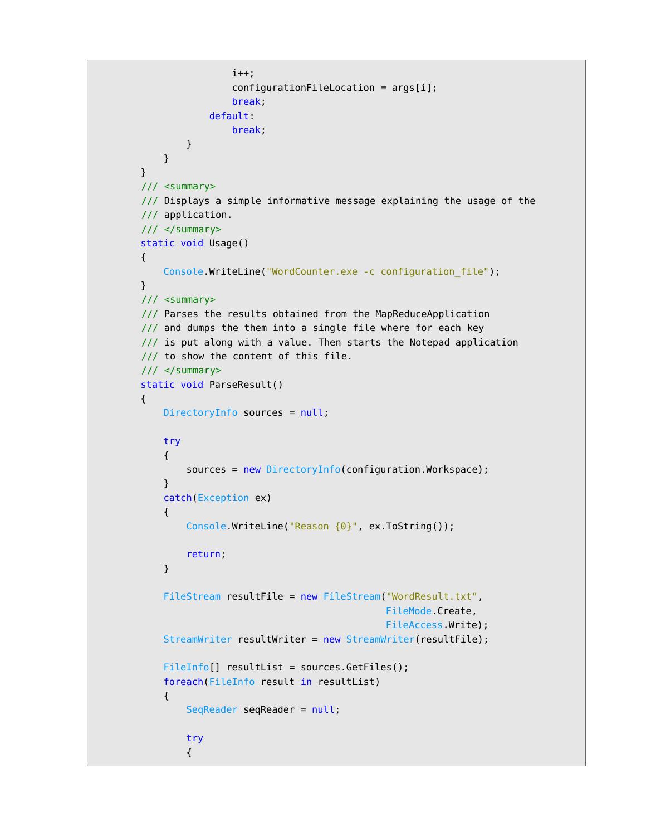```
 i++;
                      configurationFileLocation = args[i]; break;
                    default:
                       break;
 }
 }
        }
        /// <summary>
        /// Displays a simple informative message explaining the usage of the
        /// application.
        /// </summary>
        static void Usage()
        {
            Console.WriteLine("WordCounter.exe -c configuration_file");
        }
        /// <summary>
        /// Parses the results obtained from the MapReduceApplication 
       /// and dumps the them into a single file where for each key
        /// is put along with a value. Then starts the Notepad application
        /// to show the content of this file.
        /// </summary>
        static void ParseResult()
        {
           DirectoryInfo sources = null;
            try
\{sources = new DirectoryInfo(configuration.Workspace);
 }
            catch(Exception ex)
\{ Console.WriteLine("Reason {0}", ex.ToString());
                return;
 }
            FileStream resultFile = new FileStream("WordResult.txt", 
                                                FileMode.Create,
                                                FileAccess.Write);
            StreamWriter resultWriter = new StreamWriter(resultFile);
           FileInfo[] resultList = sources.GetFiles();
            foreach(FileInfo result in resultList)
\{ SeqReader seqReader = null;
                try
 {
```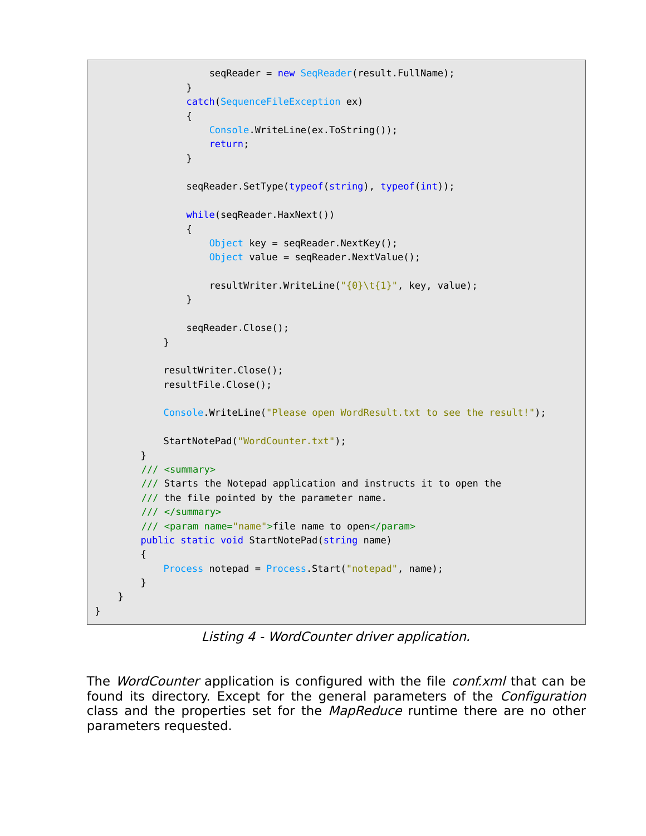```
seqReader = new SeqReader(result.FullName);
 }
                catch(SequenceFileException ex)
 {
                   Console.WriteLine(ex.ToString());
                    return;
 }
               seqReader.SetType(typeof(string), typeof(int));
                while(seqReader.HaxNext())
 {
                   Object key = seqReader.NextKey();
                   Object value = seqReader.NextValue();
                   resultWriter.WriteLine("{0} \t{1}", key, value);
 }
                seqReader.Close();
 }
            resultWriter.Close();
            resultFile.Close();
            Console.WriteLine("Please open WordResult.txt to see the result!");
            StartNotePad("WordCounter.txt");
        }
        /// <summary>
        /// Starts the Notepad application and instructs it to open the
       /// the file pointed by the parameter name.
        /// </summary>
        /// <param name="name">file name to open</param>
        public static void StartNotePad(string name)
        {
            Process notepad = Process.Start("notepad", name);
        }
    }
}
```
Listing 4 - WordCounter driver application.

The *WordCounter* application is configured with the file *conf.xml* that can be found its directory. Except for the general parameters of the *Configuration* class and the properties set for the *MapReduce* runtime there are no other parameters requested.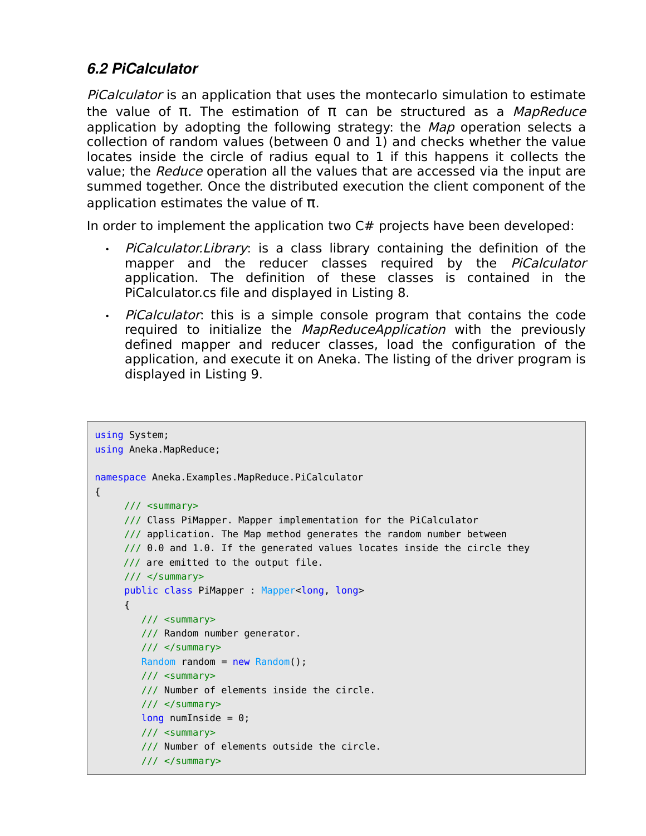### *6.2 PiCalculator*

PiCalculator is an application that uses the montecarlo simulation to estimate the value of π. The estimation of π can be structured as a MapReduce application by adopting the following strategy: the Map operation selects a collection of random values (between 0 and 1) and checks whether the value locates inside the circle of radius equal to 1 if this happens it collects the value; the Reduce operation all the values that are accessed via the input are summed together. Once the distributed execution the client component of the application estimates the value of π.

In order to implement the application two C# projects have been developed:

- PiCalculator. Library: is a class library containing the definition of the mapper and the reducer classes required by the PiCalculator application. The definition of these classes is contained in the PiCalculator.cs file and displayed in Listing 8.
- PiCalculator: this is a simple console program that contains the code required to initialize the *MapReduceApplication* with the previously defined mapper and reducer classes, load the configuration of the application, and execute it on Aneka. The listing of the driver program is displayed in Listing 9.

```
using System;
using Aneka.MapReduce;
namespace Aneka.Examples.MapReduce.PiCalculator 
{ 
     /// <summary>
     /// Class PiMapper. Mapper implementation for the PiCalculator
     /// application. The Map method generates the random number between
     \frac{1}{10} 0.0 and 1.0. If the generated values locates inside the circle they
      /// are emitted to the output file.
     11/ \leq/summary>
     public class PiMapper : Mapper<long, long>
     {
         /// <summary>
         /// Random number generator.
         /// </summary>
        Random random = new Random();
         /// <summary>
         /// Number of elements inside the circle.
         /// </summary>
        long numInside = 0;
         /// <summary>
         /// Number of elements outside the circle.
         /// </summary>
```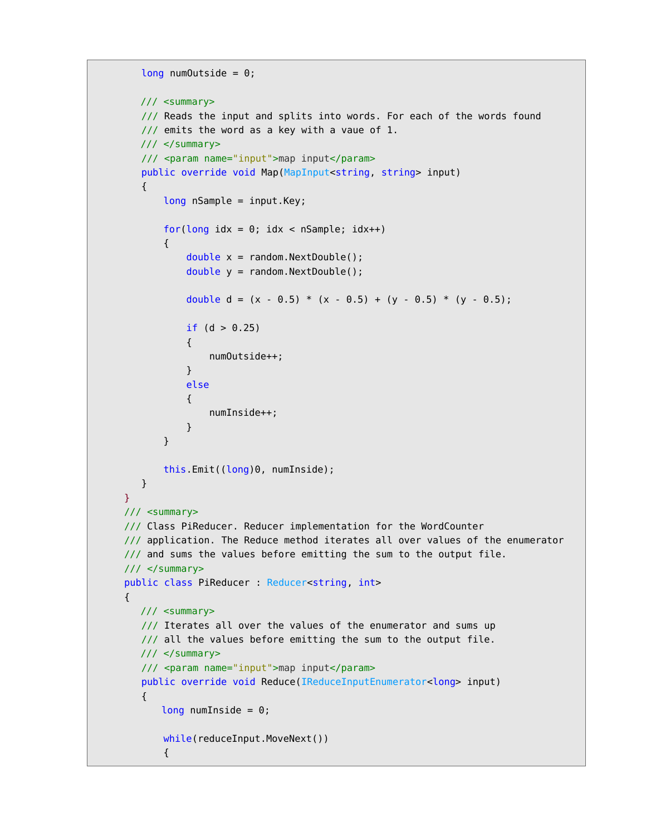```
long numOutside = 0;
         /// <summary>
         /// Reads the input and splits into words. For each of the words found
        \frac{1}{2} emits the word as a key with a vaue of 1.
         /// </summary>
         /// <param name="input">map input</param>
         public override void Map(MapInput<string, string> input) 
         { 
              long nSample = input.Key;
             for(long idx = 0; idx < nSample; idx++)
\{double x = random. NextDouble();
                   double y = random.NextDouble();
                  double d = (x - 0.5) * (x - 0.5) + (y - 0.5) * (y - 0.5);
                  if (d > 0.25)\{ numOutside++;
 }
                   else
\{ numInside++;
denotes the control of the second property of the second property of the second property of the second property of the second property of the second property of the second property of the second property of the second prop
              }
              this.Emit((long)0, numInside);
         }
      }
     /// <summary>
     /// Class PiReducer. Reducer implementation for the WordCounter
     /// application. The Reduce method iterates all over values of the enumerator
     /// and sums the values before emitting the sum to the output file.
     /// </summary>
     public class PiReducer : Reducer<string, int>
     {
         /// <summary>
        /// Iterates all over the values of the enumerator and sums up
         /// all the values before emitting the sum to the output file. 
         /// </summary>
         /// <param name="input">map input</param>
         public override void Reduce(IReduceInputEnumerator<long> input) 
         { 
             long numInside = 0;
             while(reduceInput.MoveNext())
\{
```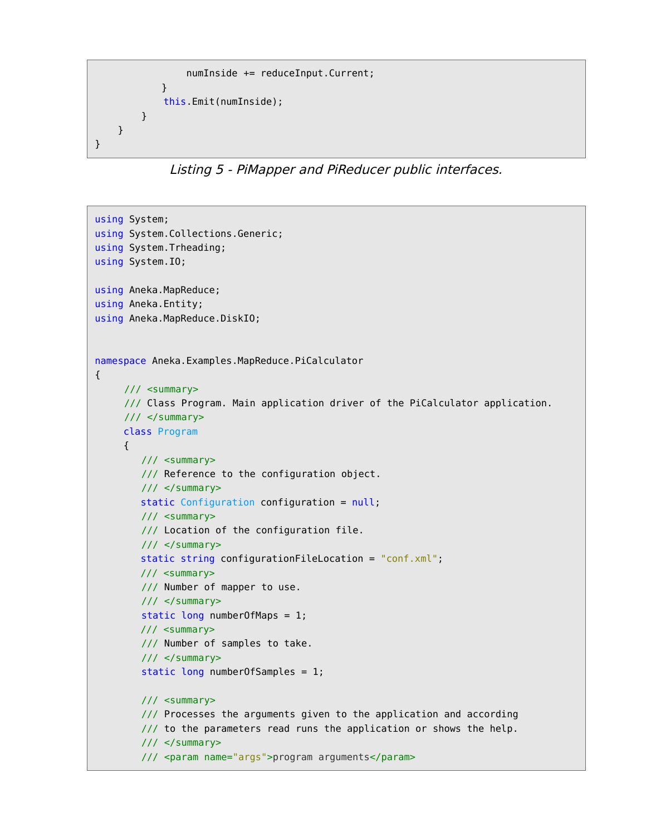```
 numInside += reduceInput.Current;
             }
              this.Emit(numInside);
          }
     }
}
```
Listing 5 - PiMapper and PiReducer public interfaces.

```
using System;
using System.Collections.Generic;
using System.Trheading;
using System.IO;
using Aneka.MapReduce;
using Aneka.Entity;
using Aneka.MapReduce.DiskIO;
namespace Aneka.Examples.MapReduce.PiCalculator
{
     /// <summary>
     /// Class Program. Main application driver of the PiCalculator application.
     /// </summary>
      class Program
      {
         /// <summary>
         /// Reference to the configuration object.
         /// </summary>
         static Configuration configuration = null;
         /// <summary>
         /// Location of the configuration file.
         /// </summary>
         static string configurationFileLocation = "conf.xml";
         /// <summary>
         /// Number of mapper to use.
         /// </summary>
        static long numberOfMaps = 1;
         /// <summary>
         /// Number of samples to take.
         /// </summary>
         static long numberOfSamples = 1;
         /// <summary>
         /// Processes the arguments given to the application and according
         /// to the parameters read runs the application or shows the help.
         /// </summary>
         /// <param name="args">program arguments</param>
```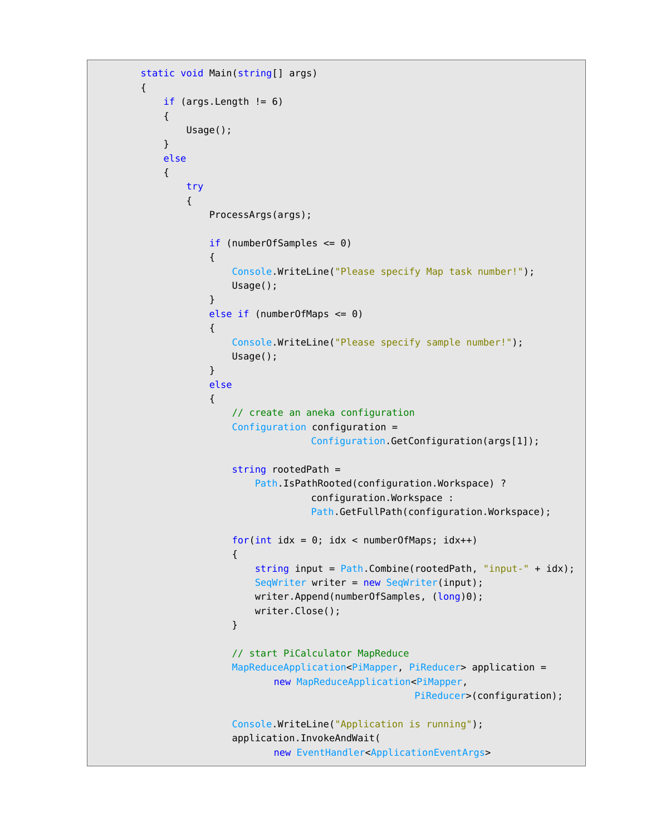```
 static void Main(string[] args)
             if (args.length != 6)\{ Usage();
 }
              else
\{ try
\{ ProcessArgs(args);
                      if (numberOfSamples <= 0)
\{ Console.WriteLine("Please specify Map task number!");
                           Usage();
denotes the control of the second property of the second property of the second property \} else if (numberOfMaps <= 0)
\{ and \{ Console.WriteLine("Please specify sample number!");
                           Usage();
denotes the control of the second property of the second property of the second property \} else
\{ // create an aneka configuration
                          Configuration configuration =
                                         Configuration.GetConfiguration(args[1]);
                           string rootedPath =
                               Path.IsPathRooted(configuration.Workspace) ?
                                          configuration.Workspace :
                                         Path.GetFullPath(configuration.Workspace);
                          for(int idx = 0; idx < numberOfMaps; idx++)
. The contraction of the contraction \{ string input = Path.Combine(rootedPath, "input-" + idx);
                               SeqWriter writer = new SeqWriter(input);
                              writer.Append(numberOfSamples, (long)0);
                               writer.Close();
denotes the contract of the second property of the second property \} // start PiCalculator MapReduce
                          MapReduceApplication<PiMapper, PiReducer> application =
                                   new MapReduceApplication<PiMapper,
                                                               PiReducer>(configuration);
                           Console.WriteLine("Application is running");
                           application.InvokeAndWait(
                                   new EventHandler<ApplicationEventArgs>
```
{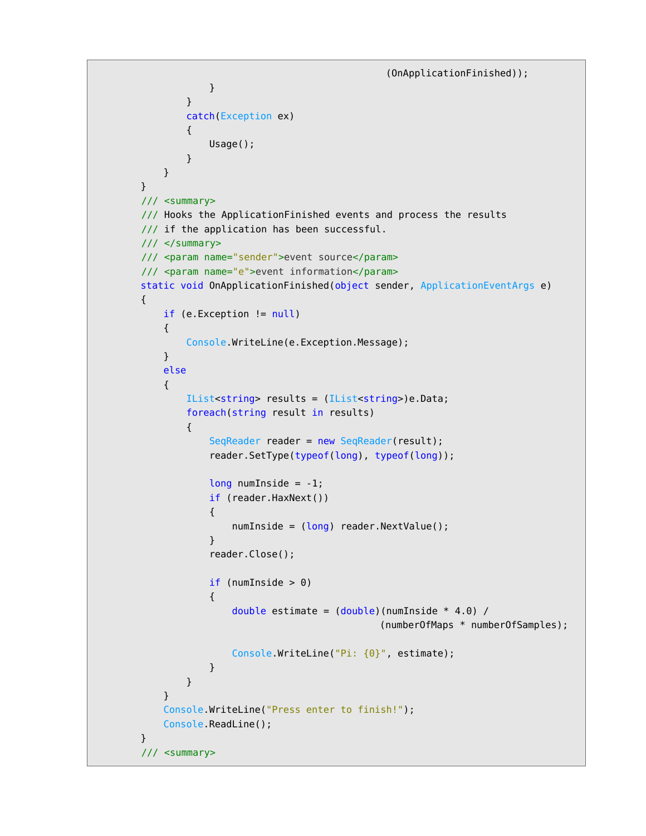```
(OnApplicationFinished));
```

```
denotes the control of the second property of the second property of the second property \} }
                  catch(Exception ex)
\{ Usage();
 }
             }
         }
         /// <summary>
         /// Hooks the ApplicationFinished events and process the results
        /// if the application has been successful.
         /// </summary>
         /// <param name="sender">event source</param>
         /// <param name="e">event information</param>
         static void OnApplicationFinished(object sender, ApplicationEventArgs e)
         {
             if (e.Exception != null)
\{ Console.WriteLine(e.Exception.Message);
 }
             else
\{ IList<string> results = (IList<string>)e.Data;
                  foreach(string result in results)
 {
                     SeqReader reader = new SeqReader(result);
                      reader.SetType(typeof(long), typeof(long));
                     long numInside = -1;
                      if (reader.HaxNext())
\{numInside = (long) reader.NextValue();
denotes the control of the second property of the second property of the second property \} reader.Close();
                      if (numInside > 0)
\{ and \{double estimate = (double)(numInside * 4.0) / (numberOfMaps * numberOfSamples);
                           Console.WriteLine("Pi: {0}", estimate);
denotes the control of the second property of the second property of the second property \} }
 }
             Console.WriteLine("Press enter to finish!");
             Console.ReadLine();
         }
         /// <summary>
```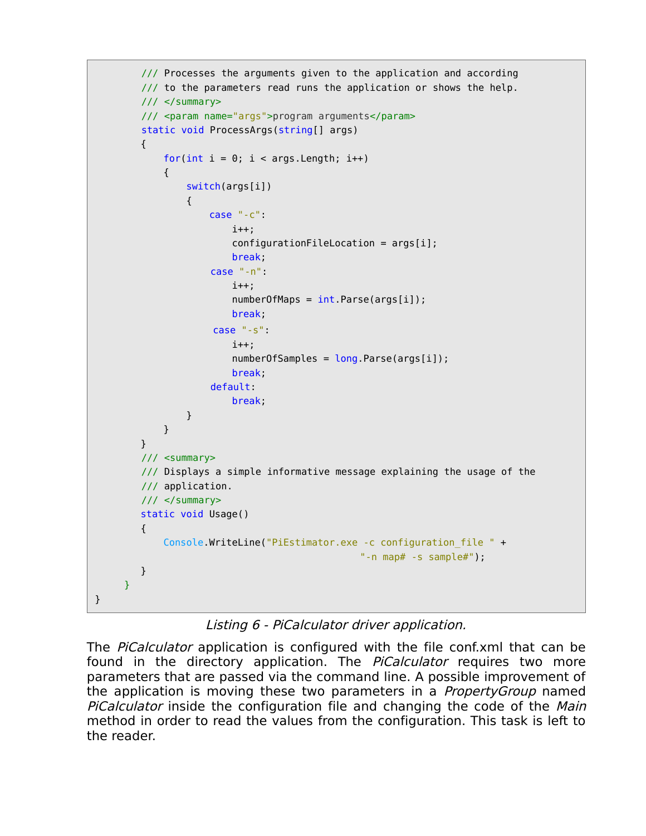```
 /// Processes the arguments given to the application and according
        /// to the parameters read runs the application or shows the help.
         /// </summary>
         /// <param name="args">program arguments</param>
        static void ProcessArgs(string[] args)
        {
           for(int i = 0; i < args. Length; i++)\{ switch(args[i])
\{ case "-c":
                        i++;
                        configurationFileLocation = args[i]; break;
                     case "-n":
                         i++;
                        numberOfMaps = int.Parse(args[i]); break;
                     case "-s":
                         i++;
                         numberOfSamples = long.Parse(args[i]);
                         break; 
                     default:
                         break;
 }
            }
        }
        /// <summary>
        /// Displays a simple informative message explaining the usage of the
        /// application.
        /// </summary>
        static void Usage()
        {
            Console.WriteLine("PiEstimator.exe -c configuration_file " + 
                                               "-n map# -s sample#");
        }
    }
```
Listing 6 - PiCalculator driver application.

}

The *PiCalculator* application is configured with the file conf.xml that can be found in the directory application. The *PiCalculator* requires two more parameters that are passed via the command line. A possible improvement of the application is moving these two parameters in a *PropertyGroup* named PiCalculator inside the configuration file and changing the code of the Main method in order to read the values from the configuration. This task is left to the reader.